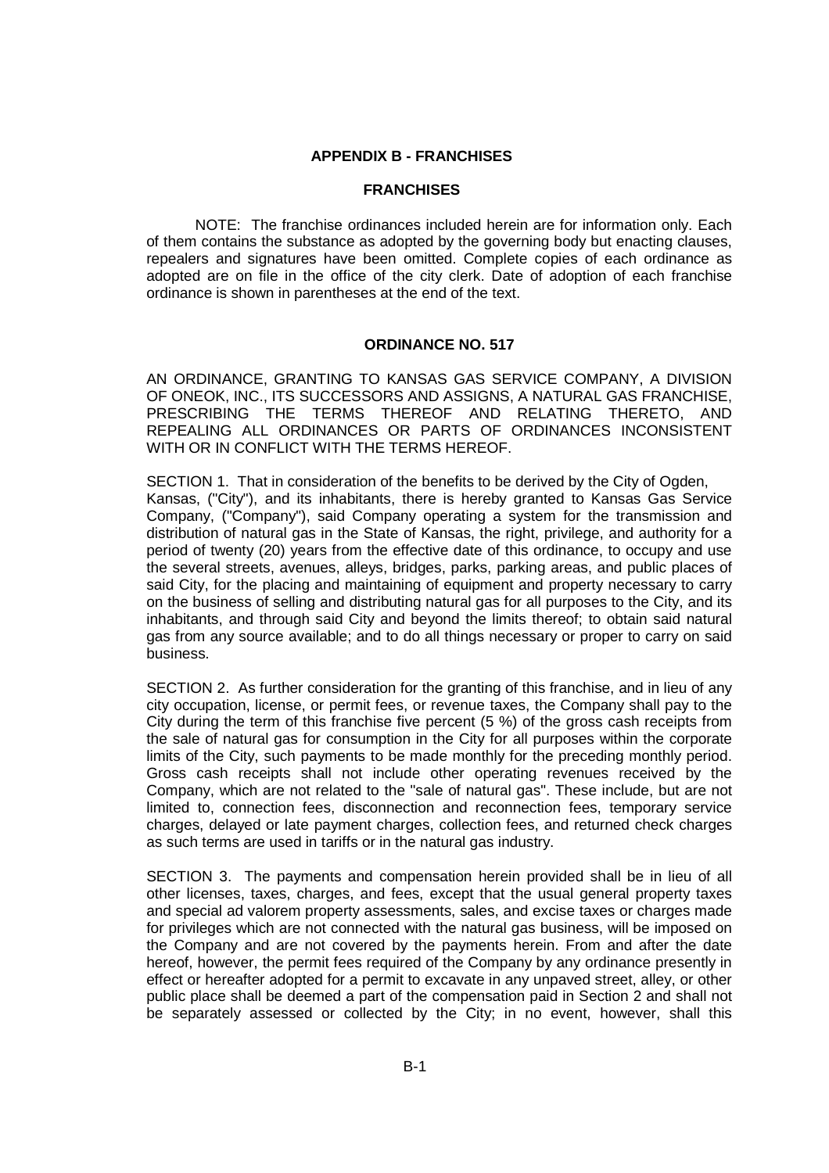## **APPENDIX B - FRANCHISES**

## **FRANCHISES**

NOTE: The franchise ordinances included herein are for information only. Each of them contains the substance as adopted by the governing body but enacting clauses, repealers and signatures have been omitted. Complete copies of each ordinance as adopted are on file in the office of the city clerk. Date of adoption of each franchise ordinance is shown in parentheses at the end of the text.

## **ORDINANCE NO. 517**

AN ORDINANCE, GRANTING TO KANSAS GAS SERVICE COMPANY, A DIVISION OF ONEOK, INC., ITS SUCCESSORS AND ASSIGNS, A NATURAL GAS FRANCHISE, PRESCRIBING THE TERMS THEREOF AND RELATING THERETO, AND REPEALING ALL ORDINANCES OR PARTS OF ORDINANCES INCONSISTENT WITH OR IN CONFLICT WITH THE TERMS HEREOF.

SECTION 1. That in consideration of the benefits to be derived by the City of Ogden, Kansas, ("City"), and its inhabitants, there is hereby granted to Kansas Gas Service Company, ("Company"), said Company operating a system for the transmission and distribution of natural gas in the State of Kansas, the right, privilege, and authority for a period of twenty (20) years from the effective date of this ordinance, to occupy and use the several streets, avenues, alleys, bridges, parks, parking areas, and public places of said City, for the placing and maintaining of equipment and property necessary to carry on the business of selling and distributing natural gas for all purposes to the City, and its inhabitants, and through said City and beyond the limits thereof; to obtain said natural gas from any source available; and to do all things necessary or proper to carry on said business.

SECTION 2. As further consideration for the granting of this franchise, and in lieu of any city occupation, license, or permit fees, or revenue taxes, the Company shall pay to the City during the term of this franchise five percent (5 %) of the gross cash receipts from the sale of natural gas for consumption in the City for all purposes within the corporate limits of the City, such payments to be made monthly for the preceding monthly period. Gross cash receipts shall not include other operating revenues received by the Company, which are not related to the "sale of natural gas". These include, but are not limited to, connection fees, disconnection and reconnection fees, temporary service charges, delayed or late payment charges, collection fees, and returned check charges as such terms are used in tariffs or in the natural gas industry.

SECTION 3. The payments and compensation herein provided shall be in lieu of all other licenses, taxes, charges, and fees, except that the usual general property taxes and special ad valorem property assessments, sales, and excise taxes or charges made for privileges which are not connected with the natural gas business, will be imposed on the Company and are not covered by the payments herein. From and after the date hereof, however, the permit fees required of the Company by any ordinance presently in effect or hereafter adopted for a permit to excavate in any unpaved street, alley, or other public place shall be deemed a part of the compensation paid in Section 2 and shall not be separately assessed or collected by the City; in no event, however, shall this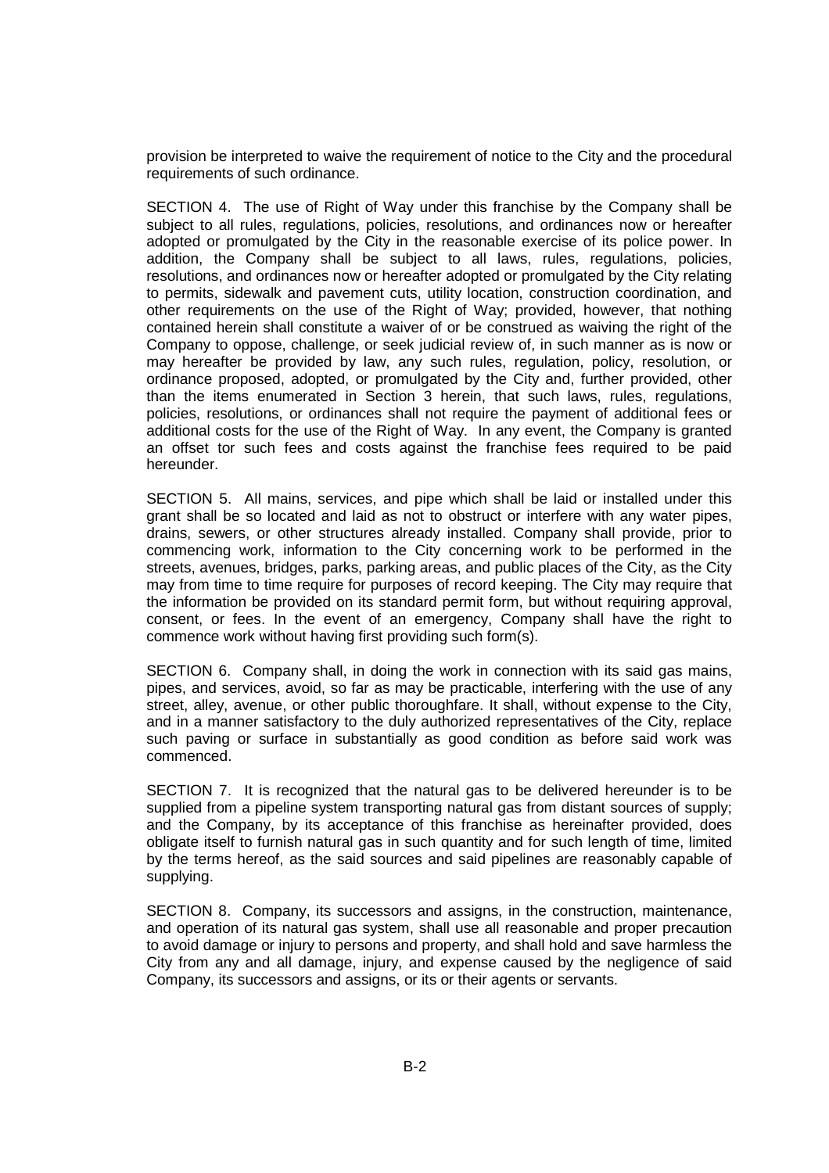provision be interpreted to waive the requirement of notice to the City and the procedural requirements of such ordinance.

SECTION 4. The use of Right of Way under this franchise by the Company shall be subject to all rules, regulations, policies, resolutions, and ordinances now or hereafter adopted or promulgated by the City in the reasonable exercise of its police power. In addition, the Company shall be subject to all laws, rules, regulations, policies, resolutions, and ordinances now or hereafter adopted or promulgated by the City relating to permits, sidewalk and pavement cuts, utility location, construction coordination, and other requirements on the use of the Right of Way; provided, however, that nothing contained herein shall constitute a waiver of or be construed as waiving the right of the Company to oppose, challenge, or seek judicial review of, in such manner as is now or may hereafter be provided by law, any such rules, regulation, policy, resolution, or ordinance proposed, adopted, or promulgated by the City and, further provided, other than the items enumerated in Section 3 herein, that such laws, rules, regulations, policies, resolutions, or ordinances shall not require the payment of additional fees or additional costs for the use of the Right of Way. In any event, the Company is granted an offset tor such fees and costs against the franchise fees required to be paid hereunder.

SECTION 5. All mains, services, and pipe which shall be laid or installed under this grant shall be so located and laid as not to obstruct or interfere with any water pipes, drains, sewers, or other structures already installed. Company shall provide, prior to commencing work, information to the City concerning work to be performed in the streets, avenues, bridges, parks, parking areas, and public places of the City, as the City may from time to time require for purposes of record keeping. The City may require that the information be provided on its standard permit form, but without requiring approval, consent, or fees. In the event of an emergency, Company shall have the right to commence work without having first providing such form(s).

SECTION 6. Company shall, in doing the work in connection with its said gas mains, pipes, and services, avoid, so far as may be practicable, interfering with the use of any street, alley, avenue, or other public thoroughfare. It shall, without expense to the City, and in a manner satisfactory to the duly authorized representatives of the City, replace such paving or surface in substantially as good condition as before said work was commenced.

SECTION 7. It is recognized that the natural gas to be delivered hereunder is to be supplied from a pipeline system transporting natural gas from distant sources of supply; and the Company, by its acceptance of this franchise as hereinafter provided, does obligate itself to furnish natural gas in such quantity and for such length of time, limited by the terms hereof, as the said sources and said pipelines are reasonably capable of supplying.

SECTION 8. Company, its successors and assigns, in the construction, maintenance, and operation of its natural gas system, shall use all reasonable and proper precaution to avoid damage or injury to persons and property, and shall hold and save harmless the City from any and all damage, injury, and expense caused by the negligence of said Company, its successors and assigns, or its or their agents or servants.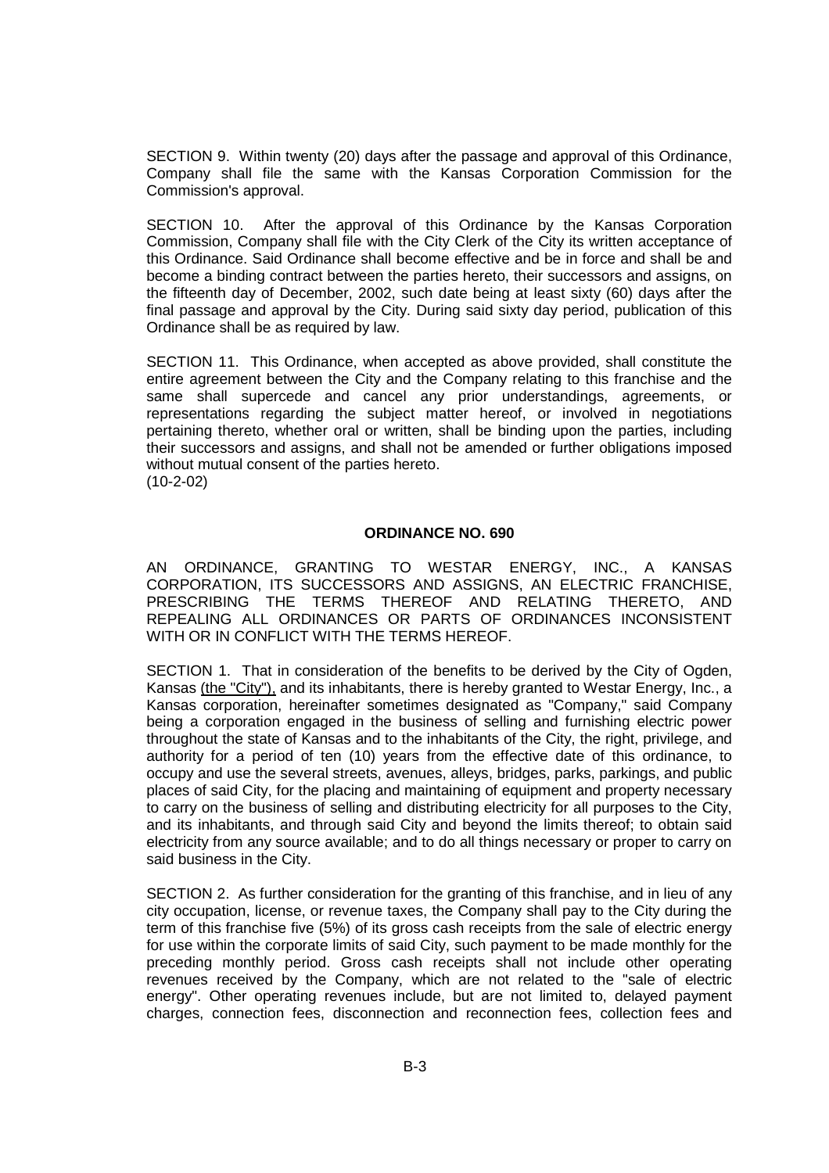SECTION 9. Within twenty (20) days after the passage and approval of this Ordinance, Company shall file the same with the Kansas Corporation Commission for the Commission's approval.

SECTION 10. After the approval of this Ordinance by the Kansas Corporation Commission, Company shall file with the City Clerk of the City its written acceptance of this Ordinance. Said Ordinance shall become effective and be in force and shall be and become a binding contract between the parties hereto, their successors and assigns, on the fifteenth day of December, 2002, such date being at least sixty (60) days after the final passage and approval by the City. During said sixty day period, publication of this Ordinance shall be as required by law.

SECTION 11. This Ordinance, when accepted as above provided, shall constitute the entire agreement between the City and the Company relating to this franchise and the same shall supercede and cancel any prior understandings, agreements, or representations regarding the subject matter hereof, or involved in negotiations pertaining thereto, whether oral or written, shall be binding upon the parties, including their successors and assigns, and shall not be amended or further obligations imposed without mutual consent of the parties hereto. (10-2-02)

## **ORDINANCE NO. 690**

AN ORDINANCE, GRANTING TO WESTAR ENERGY, INC., A KANSAS CORPORATION, ITS SUCCESSORS AND ASSIGNS, AN ELECTRIC FRANCHISE, PRESCRIBING THE TERMS THEREOF AND RELATING THERETO, AND REPEALING ALL ORDINANCES OR PARTS OF ORDINANCES INCONSISTENT WITH OR IN CONFLICT WITH THE TERMS HEREOF.

SECTION 1. That in consideration of the benefits to be derived by the City of Ogden, Kansas (the "City"), and its inhabitants, there is hereby granted to Westar Energy, Inc., a Kansas corporation, hereinafter sometimes designated as "Company," said Company being a corporation engaged in the business of selling and furnishing electric power throughout the state of Kansas and to the inhabitants of the City, the right, privilege, and authority for a period of ten (10) years from the effective date of this ordinance, to occupy and use the several streets, avenues, alleys, bridges, parks, parkings, and public places of said City, for the placing and maintaining of equipment and property necessary to carry on the business of selling and distributing electricity for all purposes to the City, and its inhabitants, and through said City and beyond the limits thereof; to obtain said electricity from any source available; and to do all things necessary or proper to carry on said business in the City.

SECTION 2. As further consideration for the granting of this franchise, and in lieu of any city occupation, license, or revenue taxes, the Company shall pay to the City during the term of this franchise five (5%) of its gross cash receipts from the sale of electric energy for use within the corporate limits of said City, such payment to be made monthly for the preceding monthly period. Gross cash receipts shall not include other operating revenues received by the Company, which are not related to the "sale of electric energy". Other operating revenues include, but are not limited to, delayed payment charges, connection fees, disconnection and reconnection fees, collection fees and